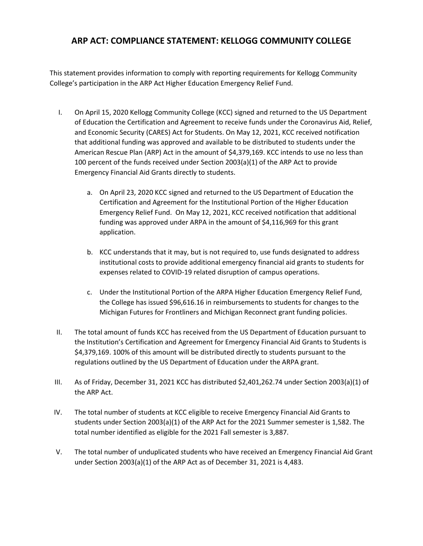## **ARP ACT: COMPLIANCE STATEMENT: KELLOGG COMMUNITY COLLEGE**

This statement provides information to comply with reporting requirements for Kellogg Community College's participation in the ARP Act Higher Education Emergency Relief Fund.

- I. On April 15, 2020 Kellogg Community College (KCC) signed and returned to the US Department of Education the Certification and Agreement to receive funds under the Coronavirus Aid, Relief, and Economic Security (CARES) Act for Students. On May 12, 2021, KCC received notification that additional funding was approved and available to be distributed to students under the American Rescue Plan (ARP) Act in the amount of \$4,379,169. KCC intends to use no less than 100 percent of the funds received under Section 2003(a)(1) of the ARP Act to provide Emergency Financial Aid Grants directly to students.
	- a. On April 23, 2020 KCC signed and returned to the US Department of Education the Certification and Agreement for the Institutional Portion of the Higher Education Emergency Relief Fund. On May 12, 2021, KCC received notification that additional funding was approved under ARPA in the amount of \$4,116,969 for this grant application.
	- b. KCC understands that it may, but is not required to, use funds designated to address institutional costs to provide additional emergency financial aid grants to students for expenses related to COVID-19 related disruption of campus operations.
	- c. Under the Institutional Portion of the ARPA Higher Education Emergency Relief Fund, the College has issued \$96,616.16 in reimbursements to students for changes to the Michigan Futures for Frontliners and Michigan Reconnect grant funding policies.
- II. The total amount of funds KCC has received from the US Department of Education pursuant to the Institution's Certification and Agreement for Emergency Financial Aid Grants to Students is \$4,379,169. 100% of this amount will be distributed directly to students pursuant to the regulations outlined by the US Department of Education under the ARPA grant.
- III. As of Friday, December 31, 2021 KCC has distributed \$2,401,262.74 under Section 2003(a)(1) of the ARP Act.
- IV. The total number of students at KCC eligible to receive Emergency Financial Aid Grants to students under Section 2003(a)(1) of the ARP Act for the 2021 Summer semester is 1,582. The total number identified as eligible for the 2021 Fall semester is 3,887.
- V. The total number of unduplicated students who have received an Emergency Financial Aid Grant under Section 2003(a)(1) of the ARP Act as of December 31, 2021 is 4,483.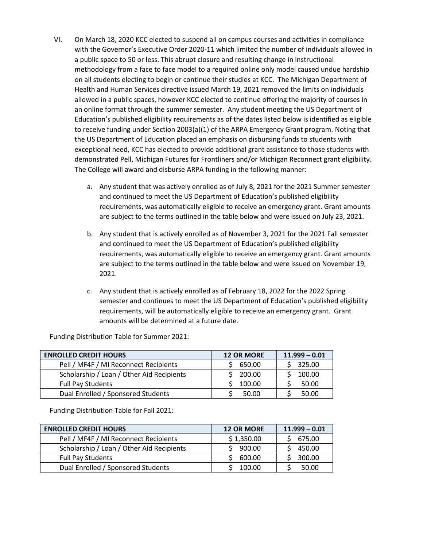- VI. On March 18, 2020 KCC elected to suspend all on campus courses and activities in compliance with the Governor's Executive Order 2020-11 which limited the number of individuals allowed in a public space to 50 or less. This abrupt closure and resulting change in instructional methodology from a face to face model to a required online only model caused undue hardship on all students electing to begin or continue their studies at KCC. The Michigan Department of Health and Human Services directive issued March 19, 2021 removed the limits on individuals allowed in a public spaces, however KCC elected to continue offering the majority of courses in an online format through the summer semester. Any student meeting the US Department of Education's published eligibility requirements as of the dates listed below is identified as eligible to receive funding under Section 2003(a)(1) of the ARPA Emergency Grant program. Noting that the US Department of Education placed an emphasis on disbursing funds to students with exceptional need, KCC has elected to provide additional grant assistance to those students with demonstrated Pell, Michigan Futures for Frontliners and/or Michigan Reconnect grant eligibility. The College will award and disburse ARPA funding in the following manner:
	- a. Any student that was actively enrolled as of July 8, 2021 for the 2021 Summer semester and continued to meet the US Department of Education's published eligibility requirements, was automatically eligible to receive an emergency grant. Grant amounts are subject to the terms outlined in the table below and were issued on July 23, 2021.
	- b. Any student that is actively enrolled as of November 3, 2021 for the 2021 Fall semester and continued to meet the US Department of Education's published eligibility requirements, was automatically eligible to receive an emergency grant. Grant amounts are subject to the terms outlined in the table below and were issued on November 19, 2021.
	- c. Any student that is actively enrolled as of February 18, 2022 for the 2022 Spring semester and continues to meet the US Department of Education's published eligibility requirements, will be automatically eligible to receive an emergency grant. Grant amounts will be determined at a future date.

Funding Distribution Table for Summer 2021:

| <b>ENROLLED CREDIT HOURS</b>              | <b>12 OR MORE</b> | $11.999 - 0.01$ |
|-------------------------------------------|-------------------|-----------------|
| Pell / MF4F / MI Reconnect Recipients     | 650.00            | 325.00          |
| Scholarship / Loan / Other Aid Recipients | 200.00            | 100.00          |
| <b>Full Pay Students</b>                  | 100.00            | 50.00           |
| Dual Enrolled / Sponsored Students        | 50.00             | 50.00           |

Funding Distribution Table for Fall 2021:

| <b>ENROLLED CREDIT HOURS</b>              | <b>12 OR MORE</b> | $11.999 - 0.01$ |
|-------------------------------------------|-------------------|-----------------|
| Pell / MF4F / MI Reconnect Recipients     | \$1,350.00        | 675.00          |
| Scholarship / Loan / Other Aid Recipients | 900.00            | 450.00          |
| <b>Full Pay Students</b>                  | 600.00            | 300.00          |
| Dual Enrolled / Sponsored Students        | 100.00            | 50.00           |